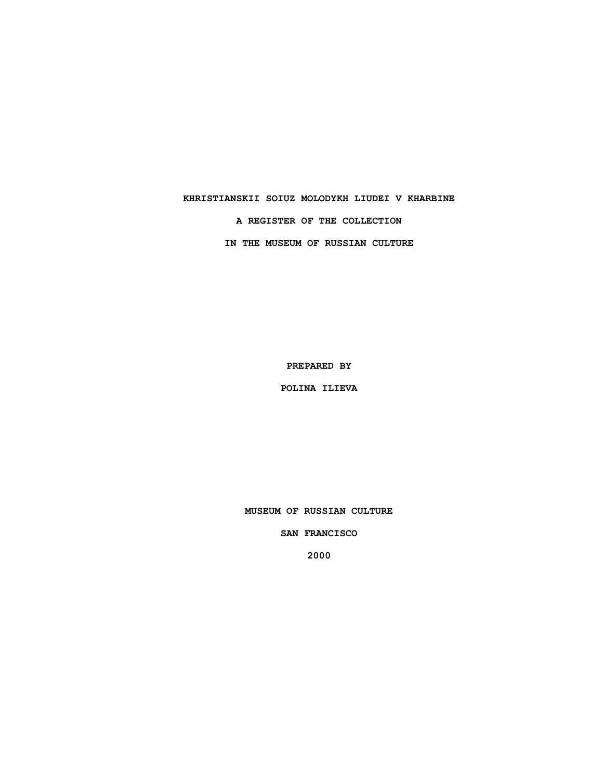# **KHRISTIANSKII SOIUZ MOLODYKH LIUDEI V KHARBINE A REGISTER OF THE COLLECTION IN THE MUSEUM OF RUSSIAN CULTURE**

**PREPARED BY**

**POLINA ILIEVA**

**MUSEUM OF RUSSIAN CULTURE**

**SAN FRANCISCO**

**2000**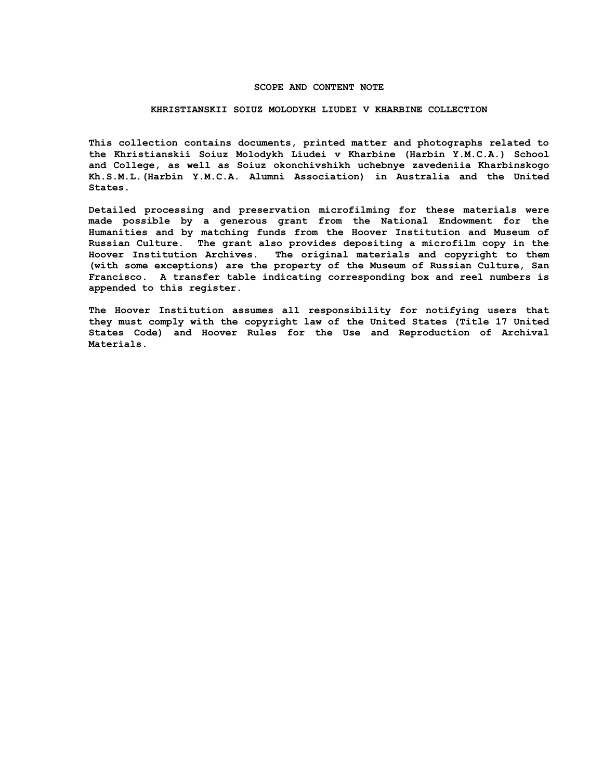#### **SCOPE AND CONTENT NOTE**

#### **KHRISTIANSKII SOIUZ MOLODYKH LIUDEI V KHARBINE COLLECTION**

**This collection contains documents, printed matter and photographs related to the Khristianskii Soiuz Molodykh Liudei v Kharbine (Harbin Y.M.C.A.) School and College, as well as Soiuz okonchivshikh uchebnye zavedeniia Kharbinskogo Kh.S.M.L.(Harbin Y.M.C.A. Alumni Association) in Australia and the United States.**

**Detailed processing and preservation microfilming for these materials were made possible by a generous grant from the National Endowment for the Humanities and by matching funds from the Hoover Institution and Museum of Russian Culture. The grant also provides depositing a microfilm copy in the Hoover Institution Archives. The original materials and copyright to them (with some exceptions) are the property of the Museum of Russian Culture, San Francisco. A transfer table indicating corresponding box and reel numbers is appended to this register.**

**The Hoover Institution assumes all responsibility for notifying users that they must comply with the copyright law of the United States (Title 17 United States Code) and Hoover Rules for the Use and Reproduction of Archival Materials.**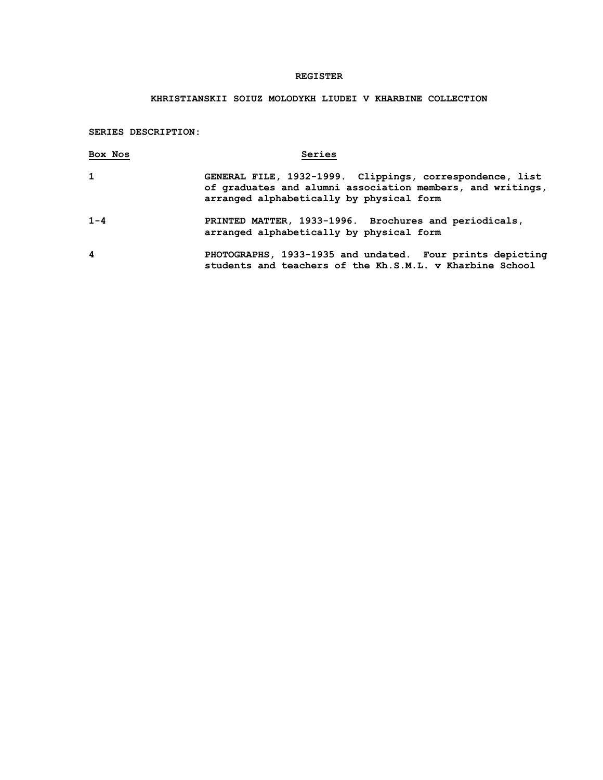### **REGISTER**

## **KHRISTIANSKII SOIUZ MOLODYKH LIUDEI V KHARBINE COLLECTION**

**SERIES DESCRIPTION:**

| Box Nos | Series                                                                                                                                                             |
|---------|--------------------------------------------------------------------------------------------------------------------------------------------------------------------|
| 1       | GENERAL FILE, 1932-1999. Clippings, correspondence, list<br>of graduates and alumni association members, and writings,<br>arranged alphabetically by physical form |
| $1 - 4$ | PRINTED MATTER, 1933-1996. Brochures and periodicals,<br>arranged alphabetically by physical form                                                                  |
| 4       | PHOTOGRAPHS, 1933-1935 and undated. Four prints depicting<br>students and teachers of the Kh.S.M.L. v Kharbine School                                              |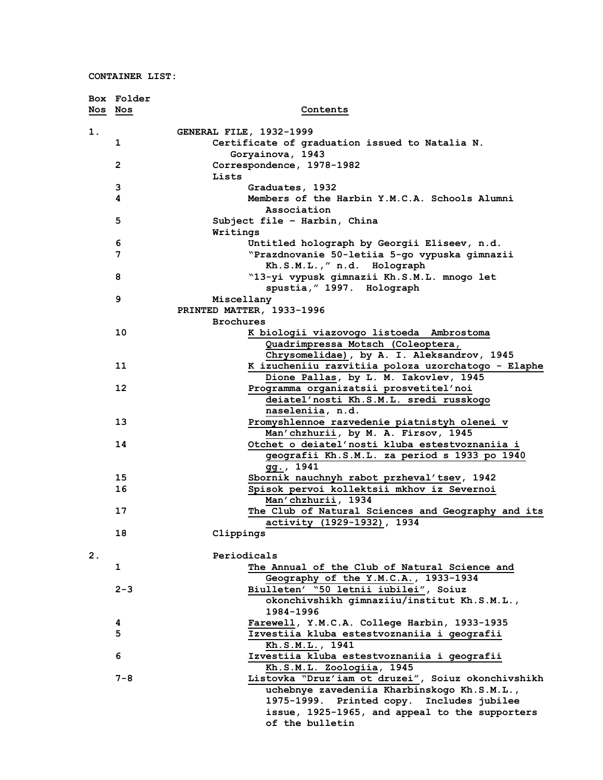**CONTAINER LIST:**

|    | Box Folder |                                                                          |
|----|------------|--------------------------------------------------------------------------|
|    | Nos Nos    | Contents                                                                 |
|    |            |                                                                          |
| 1. |            | <b>GENERAL FILE, 1932-1999</b>                                           |
|    | 1          | Certificate of graduation issued to Natalia N.                           |
|    |            | Goryainova, 1943                                                         |
|    | 2          | Correspondence, 1978-1982                                                |
|    |            | Lists                                                                    |
|    | 3          | Graduates, 1932                                                          |
|    | 4          | Members of the Harbin Y.M.C.A. Schools Alumni                            |
|    |            | Association                                                              |
|    | 5          | Subject file - Harbin, China                                             |
|    |            | Writings                                                                 |
|    | 6          | Untitled holograph by Georgii Eliseev, n.d.                              |
|    | 7          | "Prazdnovanie 50-letiia 5-go vypuska gimnazii                            |
|    |            | Kh.S.M.L.," n.d. Holograph                                               |
|    | 8          | "13-yi vypusk gimnazii Kh.S.M.L. mnogo let                               |
|    |            | spustia, "1997. Holograph                                                |
|    | 9          | Miscellany                                                               |
|    |            | PRINTED MATTER, 1933-1996                                                |
|    |            | <b>Brochures</b>                                                         |
|    | 10         | K biologii viazovogo listoeda Ambrostoma                                 |
|    |            | Quadrimpressa Motsch (Coleoptera,                                        |
|    |            | Chrysomelidae), by A. I. Aleksandrov, 1945                               |
|    | 11         | K izucheniiu razvitiia poloza uzorchatogo - Elaphe                       |
|    |            | Dione Pallas, by L. M. Iakovlev, 1945                                    |
|    | 12         | Programma organizatsii prosvetitel'noi                                   |
|    |            | deiatel'nosti Kh.S.M.L. sredi russkogo                                   |
|    |            | naseleniia, n.d.                                                         |
|    | 13         | Promyshlennoe razvedenie piatnistyh olenei v                             |
|    |            | Man'chzhurii, by M. A. Firsov, 1945                                      |
|    | 14         | Otchet o deiatel'nosti kluba estestvoznaniia i                           |
|    |            | geografii Kh.S.M.L. za period s 1933 po 1940                             |
|    |            | gg., 1941                                                                |
|    | 15         | Sbornik nauchnyh rabot przheval'tsev, 1942                               |
|    | 16         | Spisok pervoi kollektsii mkhov iz Severnoi                               |
|    |            | Man'chzhurii, 1934                                                       |
|    | 17         | The Club of Natural Sciences and Geography and its                       |
|    |            | activity (1929-1932), 1934                                               |
|    | 18         | Clippings                                                                |
| 2. |            | Periodicals                                                              |
|    |            |                                                                          |
|    | 1          | The Annual of the Club of Natural Science and                            |
|    | $2 - 3$    | Geography of the Y.M.C.A., 1933-1934                                     |
|    |            | Biulleten' "50 letnii iubilei", Soiuz                                    |
|    |            | okonchivshikh gimnaziiu/institut Kh.S.M.L.,<br>1984-1996                 |
|    |            |                                                                          |
|    | 4          | Farewell, Y.M.C.A. College Harbin, 1933-1935                             |
|    | 5          | Izvestiia kluba estestvoznaniia i geografii                              |
|    | 6          | Kh.S.M.L., 1941                                                          |
|    |            | Izvestiia kluba estestvoznaniia i geografii<br>Kh.S.M.L. Zoologiia, 1945 |
|    | 7-8        | Listovka "Druz'iam ot druzei", Soiuz okonchivshikh                       |
|    |            | uchebnye zavedeniia Kharbinskogo Kh.S.M.L.,                              |
|    |            | 1975-1999. Printed copy. Includes jubilee                                |
|    |            | issue, 1925-1965, and appeal to the supporters                           |
|    |            | of the bulletin                                                          |
|    |            |                                                                          |